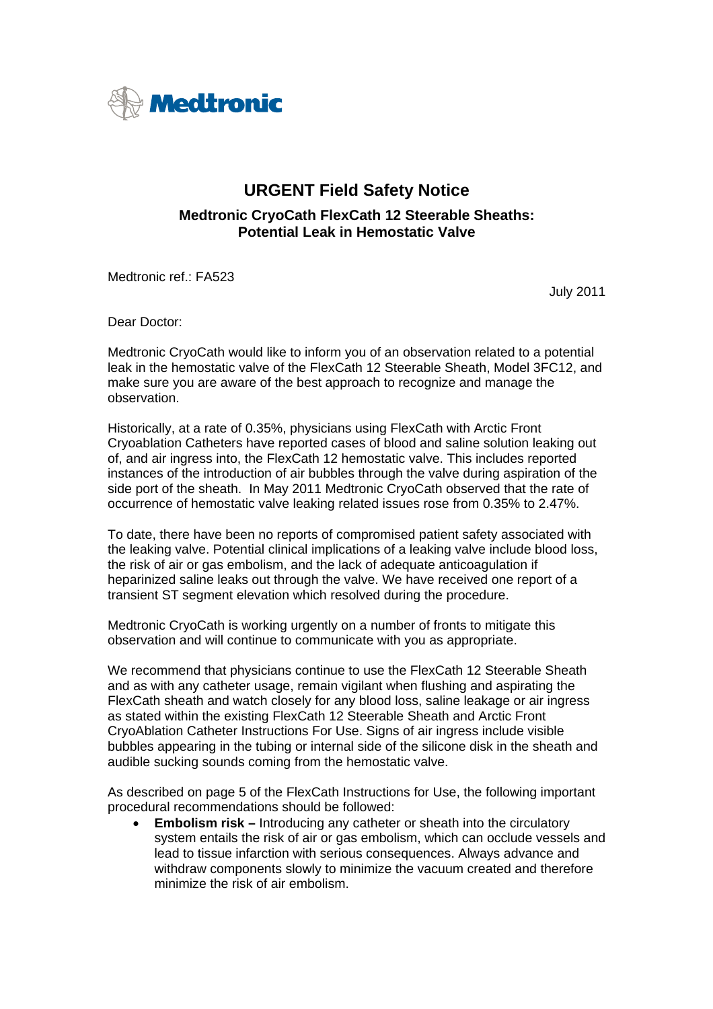

## **URGENT Field Safety Notice**

## **Medtronic CryoCath FlexCath 12 Steerable Sheaths: Potential Leak in Hemostatic Valve**

Medtronic ref.: FA523

July 2011

Dear Doctor:

Medtronic CryoCath would like to inform you of an observation related to a potential leak in the hemostatic valve of the FlexCath 12 Steerable Sheath, Model 3FC12, and make sure you are aware of the best approach to recognize and manage the observation.

Historically, at a rate of 0.35%, physicians using FlexCath with Arctic Front Cryoablation Catheters have reported cases of blood and saline solution leaking out of, and air ingress into, the FlexCath 12 hemostatic valve. This includes reported instances of the introduction of air bubbles through the valve during aspiration of the side port of the sheath. In May 2011 Medtronic CryoCath observed that the rate of occurrence of hemostatic valve leaking related issues rose from 0.35% to 2.47%.

To date, there have been no reports of compromised patient safety associated with the leaking valve. Potential clinical implications of a leaking valve include blood loss, the risk of air or gas embolism, and the lack of adequate anticoagulation if heparinized saline leaks out through the valve. We have received one report of a transient ST segment elevation which resolved during the procedure.

Medtronic CryoCath is working urgently on a number of fronts to mitigate this observation and will continue to communicate with you as appropriate.

We recommend that physicians continue to use the FlexCath 12 Steerable Sheath and as with any catheter usage, remain vigilant when flushing and aspirating the FlexCath sheath and watch closely for any blood loss, saline leakage or air ingress as stated within the existing FlexCath 12 Steerable Sheath and Arctic Front CryoAblation Catheter Instructions For Use. Signs of air ingress include visible bubbles appearing in the tubing or internal side of the silicone disk in the sheath and audible sucking sounds coming from the hemostatic valve.

As described on page 5 of the FlexCath Instructions for Use, the following important procedural recommendations should be followed:

**Embolism risk –** Introducing any catheter or sheath into the circulatory system entails the risk of air or gas embolism, which can occlude vessels and lead to tissue infarction with serious consequences. Always advance and withdraw components slowly to minimize the vacuum created and therefore minimize the risk of air embolism.